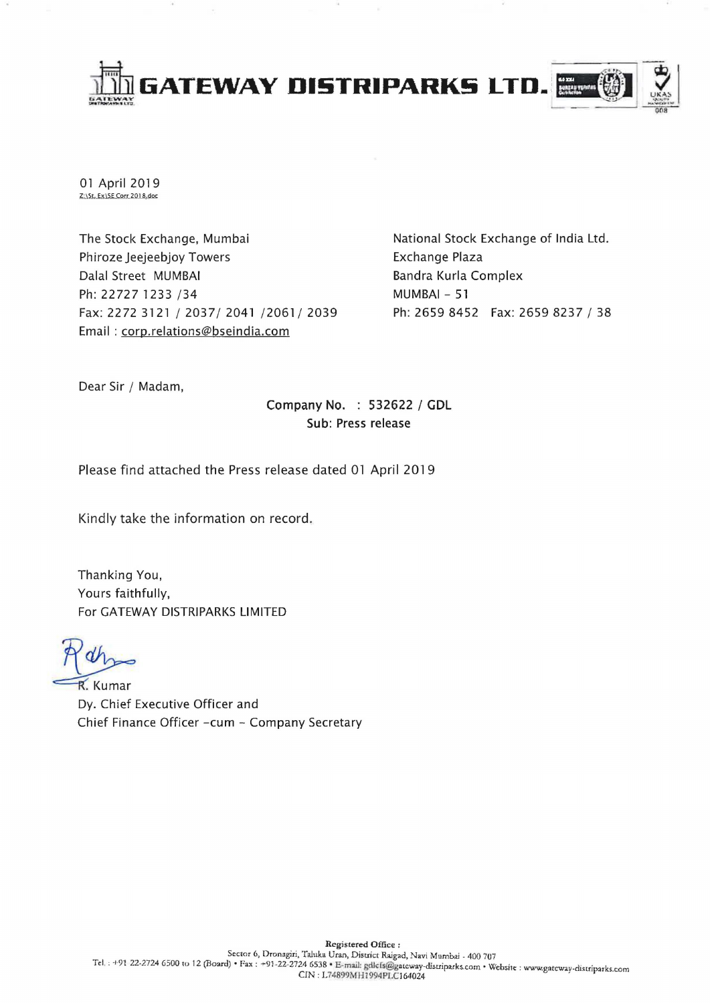

01 April 2019 Z:\St. Ex\SE Corr 2018.doc

The Stock Exchange, Mumbai Phiroze Jeejeebjoy Towers Dalal Street MUMBAI Ph: 22727 1233 /34 Fax: 2272 3121/2037/2041/2061/2039 Email: corp.relations@bseindia.com

National Stock Exchange of India Ltd. Exchange Plaza Bandra Kurla Complex MUMBAI - 51 Ph: 2659 8452 Fax: 2659 8237 / 38

Dear Sir / Madam,

Company No. : 532622 / **GDL**  Sub: Press release

Please find attached the Press release dated 01 April 2019

Kindly take the information on record.

Thanking You, Yours faithfully, For GATEWAY DISTRIPARKS LIMITED

R. Kumar Dy. Chief Executive Officer and Chief Finance Officer -cum - Company Secretary